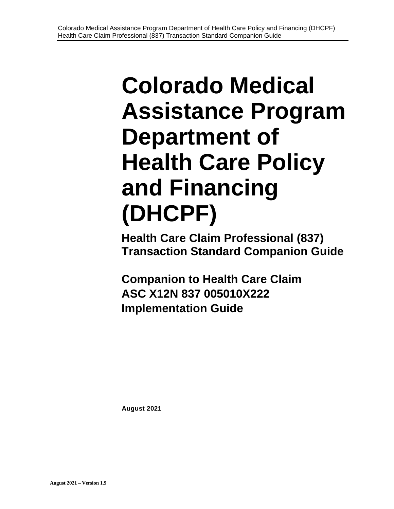# **Colorado Medical Assistance Program Department of Health Care Policy and Financing (DHCPF)**

**Health Care Claim Professional (837) Transaction Standard Companion Guide**

**Companion to Health Care Claim ASC X12N 837 005010X222 Implementation Guide**

**August 2021**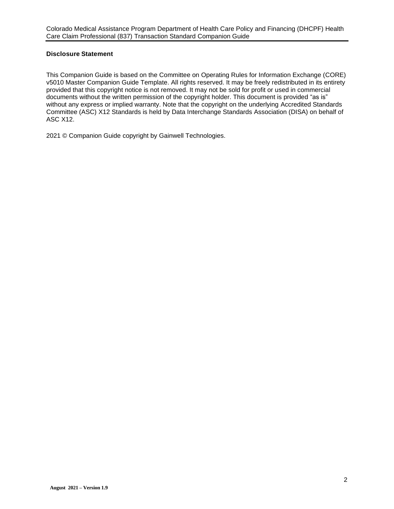## **Disclosure Statement**

This Companion Guide is based on the Committee on Operating Rules for Information Exchange (CORE) v5010 Master Companion Guide Template. All rights reserved. It may be freely redistributed in its entirety provided that this copyright notice is not removed. It may not be sold for profit or used in commercial documents without the written permission of the copyright holder. This document is provided "as is" without any express or implied warranty. Note that the copyright on the underlying Accredited Standards Committee (ASC) X12 Standards is held by Data Interchange Standards Association (DISA) on behalf of ASC X12.

2021 © Companion Guide copyright by Gainwell Technologies.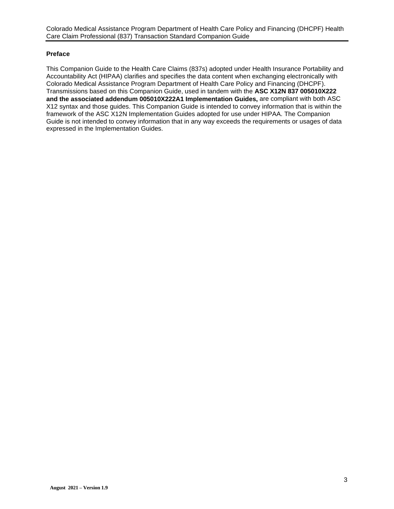## **Preface**

This Companion Guide to the Health Care Claims (837s) adopted under Health Insurance Portability and Accountability Act (HIPAA) clarifies and specifies the data content when exchanging electronically with Colorado Medical Assistance Program Department of Health Care Policy and Financing (DHCPF). Transmissions based on this Companion Guide, used in tandem with the **ASC X12N 837 005010X222 and the associated addendum 005010X222A1 Implementation Guides,** are compliant with both ASC X12 syntax and those guides. This Companion Guide is intended to convey information that is within the framework of the ASC X12N Implementation Guides adopted for use under HIPAA. The Companion Guide is not intended to convey information that in any way exceeds the requirements or usages of data expressed in the Implementation Guides.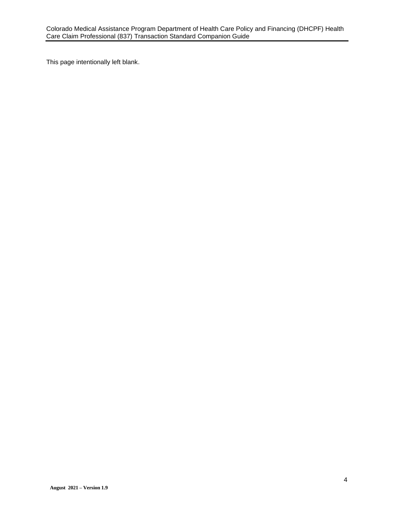This page intentionally left blank.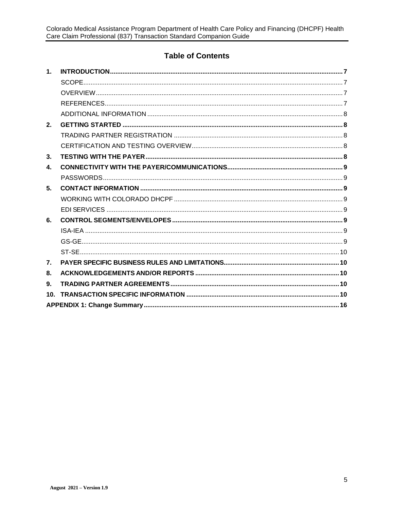# **Table of Contents**

| 1 <sub>1</sub>  |  |  |  |  |  |
|-----------------|--|--|--|--|--|
|                 |  |  |  |  |  |
|                 |  |  |  |  |  |
|                 |  |  |  |  |  |
|                 |  |  |  |  |  |
| 2.              |  |  |  |  |  |
|                 |  |  |  |  |  |
|                 |  |  |  |  |  |
| 3 <sub>1</sub>  |  |  |  |  |  |
| 4.              |  |  |  |  |  |
|                 |  |  |  |  |  |
| 5 <sub>1</sub>  |  |  |  |  |  |
|                 |  |  |  |  |  |
|                 |  |  |  |  |  |
| 6.              |  |  |  |  |  |
|                 |  |  |  |  |  |
|                 |  |  |  |  |  |
|                 |  |  |  |  |  |
| 7.              |  |  |  |  |  |
| 8.              |  |  |  |  |  |
| 9.              |  |  |  |  |  |
| 10 <sub>1</sub> |  |  |  |  |  |
|                 |  |  |  |  |  |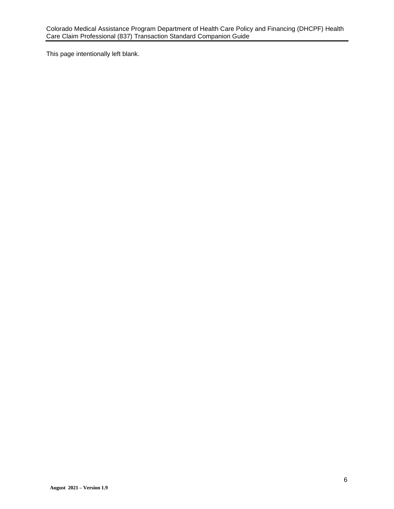This page intentionally left blank.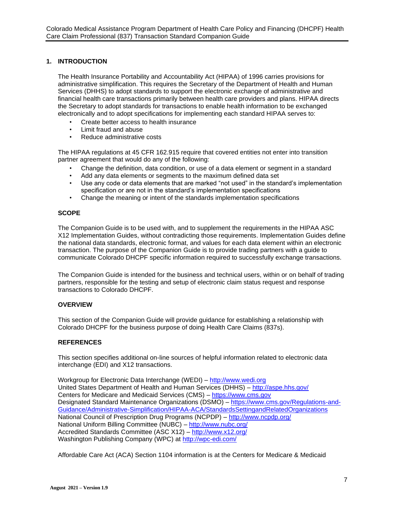## <span id="page-6-0"></span>**1. INTRODUCTION**

The Health Insurance Portability and Accountability Act (HIPAA) of 1996 carries provisions for administrative simplification. This requires the Secretary of the Department of Health and Human Services (DHHS) to adopt standards to support the electronic exchange of administrative and financial health care transactions primarily between health care providers and plans. HIPAA directs the Secretary to adopt standards for transactions to enable health information to be exchanged electronically and to adopt specifications for implementing each standard HIPAA serves to:

- Create better access to health insurance
- Limit fraud and abuse
- Reduce administrative costs

The HIPAA regulations at 45 CFR 162.915 require that covered entities not enter into transition partner agreement that would do any of the following:

- Change the definition, data condition, or use of a data element or segment in a standard
- Add any data elements or segments to the maximum defined data set<br>• Use any code or data elements that are marked "not used" in the stand
- Use any code or data elements that are marked "not used" in the standard's implementation specification or are not in the standard's implementation specifications
- Change the meaning or intent of the standards implementation specifications

#### <span id="page-6-1"></span>**SCOPE**

The Companion Guide is to be used with, and to supplement the requirements in the HIPAA ASC X12 Implementation Guides, without contradicting those requirements. Implementation Guides define the national data standards, electronic format, and values for each data element within an electronic transaction. The purpose of the Companion Guide is to provide trading partners with a guide to communicate Colorado DHCPF specific information required to successfully exchange transactions.

The Companion Guide is intended for the business and technical users, within or on behalf of trading partners, responsible for the testing and setup of electronic claim status request and response transactions to Colorado DHCPF.

#### <span id="page-6-2"></span>**OVERVIEW**

This section of the Companion Guide will provide guidance for establishing a relationship with Colorado DHCPF for the business purpose of doing Health Care Claims (837s).

#### <span id="page-6-3"></span>**REFERENCES**

This section specifies additional on-line sources of helpful information related to electronic data interchange (EDI) and X12 transactions.

Workgroup for Electronic Data Interchange (WEDI) – [http://www.wedi.org](http://www.wedi.org/) United States Department of Health and Human Services (DHHS) – <http://aspe.hhs.gov/> Centers for Medicare and Medicaid Services (CMS) – [https://www.cms.gov](https://www.cms.gov/) Designated Standard Maintenance Organizations (DSMO) – [https://www.cms.gov/Regulations-and-](https://www.cms.gov/Regulations-and-Guidance/Administrative-Simplification/HIPAA-ACA/StandardsSettingandRelatedOrganizations)[Guidance/Administrative-Simplification/HIPAA-ACA/StandardsSettingandRelatedOrganizations](https://www.cms.gov/Regulations-and-Guidance/Administrative-Simplification/HIPAA-ACA/StandardsSettingandRelatedOrganizations) National Council of Prescription Drug Programs (NCPDP) – <http://www.ncpdp.org/> National Uniform Billing Committee (NUBC) - <http://www.nubc.org/> Accredited Standards Committee (ASC X12) – <http://www.x12.org/> Washington Publishing Company (WPC) at<http://wpc-edi.com/>

Affordable Care Act (ACA) Section 1104 information is at the Centers for Medicare & Medicaid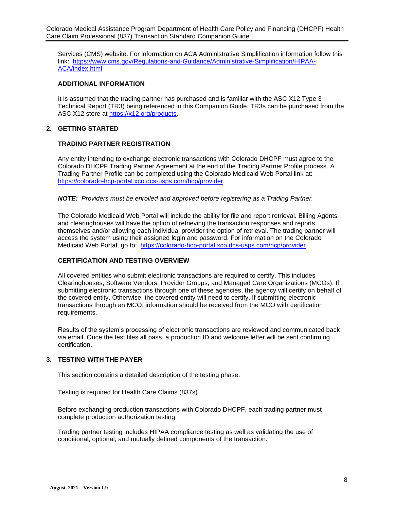Services (CMS) website. For information on ACA Administrative Simplification information follow this link: [https://www.cms.gov/Regulations-and-Guidance/Administrative-Simplification/HIPAA-](https://www.cms.gov/Regulations-and-Guidance/Administrative-Simplification/HIPAA-ACA/index.html)[ACA/index.html](https://www.cms.gov/Regulations-and-Guidance/Administrative-Simplification/HIPAA-ACA/index.html)

## <span id="page-7-0"></span>**ADDITIONAL INFORMATION**

It is assumed that the trading partner has purchased and is familiar with the ASC X12 Type 3 Technical Report (TR3) being referenced in this Companion Guide. TR3s can be purchased from the ASC X12 store at [https://x12.org/products.](https://x12.org/products)

## <span id="page-7-1"></span>**2. GETTING STARTED**

## <span id="page-7-2"></span>**TRADING PARTNER REGISTRATION**

Any entity intending to exchange electronic transactions with Colorado DHCPF must agree to the Colorado DHCPF Trading Partner Agreement at the end of the Trading Partner Profile process. A Trading Partner Profile can be completed using the Colorado Medicaid Web Portal link at: [https://colorado-hcp-portal.xco.dcs-usps.com/hcp/provider.](https://colorado-hcp-portal.xco.dcs-usps.com/hcp/provider)

*NOTE: Providers must be enrolled and approved before registering as a Trading Partner.*

The Colorado Medicaid Web Portal will include the ability for file and report retrieval. Billing Agents and clearinghouses will have the option of retrieving the transaction responses and reports themselves and/or allowing each individual provider the option of retrieval. The trading partner will access the system using their assigned login and password. For information on the Colorado Medicaid Web Portal, go to: [https://colorado-hcp-portal.xco.dcs-usps.com/hcp/provider.](https://colorado-hcp-portal.xco.dcs-usps.com/hcp/provider)

#### <span id="page-7-3"></span>**CERTIFICATION AND TESTING OVERVIEW**

All covered entities who submit electronic transactions are required to certify. This includes Clearinghouses, Software Vendors, Provider Groups, and Managed Care Organizations (MCOs). If submitting electronic transactions through one of these agencies, the agency will certify on behalf of the covered entity. Otherwise, the covered entity will need to certify. If submitting electronic transactions through an MCO, information should be received from the MCO with certification requirements.

Results of the system's processing of electronic transactions are reviewed and communicated back via email. Once the test files all pass, a production ID and welcome letter will be sent confirming certification.

#### <span id="page-7-4"></span>**3. TESTING WITH THE PAYER**

This section contains a detailed description of the testing phase.

Testing is required for Health Care Claims (837s).

Before exchanging production transactions with Colorado DHCPF, each trading partner must complete production authorization testing.

Trading partner testing includes HIPAA compliance testing as well as validating the use of conditional, optional, and mutually defined components of the transaction.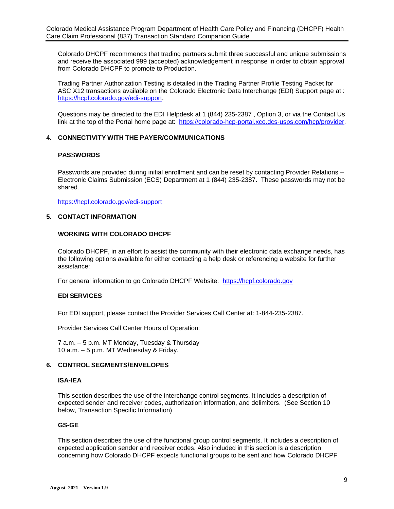Colorado DHCPF recommends that trading partners submit three successful and unique submissions and receive the associated 999 (accepted) acknowledgement in response in order to obtain approval from Colorado DHCPF to promote to Production.

Trading Partner Authorization Testing is detailed in the Trading Partner Profile Testing Packet for ASC X12 transactions available on the Colorado Electronic Data Interchange (EDI) Support page at : [https://hcpf.colorado.gov/edi-support.](https://hcpf.colorado.gov/edi-support)

Questions may be directed to the EDI Helpdesk at 1 (844) 235-2387 , Option 3, or via the Contact Us link at the top of the Portal home page at: [https://colorado-hcp-portal.xco.dcs-usps.com/hcp/provider.](https://colorado-hcp-portal.xco.dcs-usps.com/hcp/provider)

## <span id="page-8-0"></span>**4. CONNECTIVITY WITH THE PAYER/COMMUNICATIONS**

#### <span id="page-8-1"></span>**PAS**S**WORDS**

Passwords are provided during initial enrollment and can be reset by contacting Provider Relations – Electronic Claims Submission (ECS) Department at 1 (844) 235-2387. These passwords may not be shared.

<https://hcpf.colorado.gov/edi-support>

## <span id="page-8-2"></span>**5. CONTACT INFORMATION**

## <span id="page-8-3"></span>**WORKING WITH COLORADO DHCPF**

Colorado DHCPF, in an effort to assist the community with their electronic data exchange needs, has the following options available for either contacting a help desk or referencing a website for further assistance:

For general information to go Colorado DHCPF Website: [https://hcpf.colorado.gov](https://hcpf.colorado.gov/)

#### <span id="page-8-4"></span>**EDI SERVICES**

For EDI support, please contact the Provider Services Call Center at: 1-844-235-2387.

Provider Services Call Center Hours of Operation:

7 a.m. – 5 p.m. MT Monday, Tuesday & Thursday 10 a.m. – 5 p.m. MT Wednesday & Friday.

#### <span id="page-8-5"></span>**6. CONTROL SEGMENTS/ENVELOPES**

#### <span id="page-8-6"></span>**ISA-IEA**

This section describes the use of the interchange control segments. It includes a description of expected sender and receiver codes, authorization information, and delimiters. (See Section 10 below, Transaction Specific Information)

#### <span id="page-8-7"></span>**GS-GE**

This section describes the use of the functional group control segments. It includes a description of expected application sender and receiver codes. Also included in this section is a description concerning how Colorado DHCPF expects functional groups to be sent and how Colorado DHCPF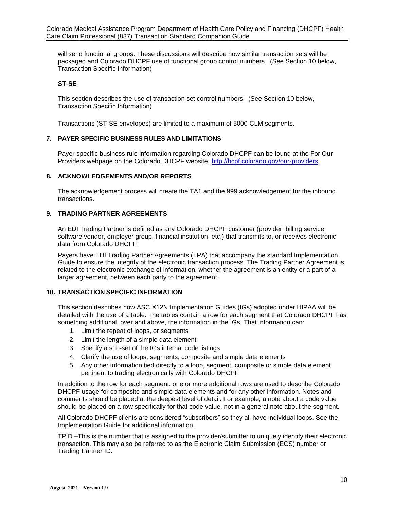will send functional groups. These discussions will describe how similar transaction sets will be packaged and Colorado DHCPF use of functional group control numbers. (See Section 10 below, Transaction Specific Information)

#### <span id="page-9-0"></span>**ST-SE**

This section describes the use of transaction set control numbers. (See Section 10 below, Transaction Specific Information)

Transactions (ST-SE envelopes) are limited to a maximum of 5000 CLM segments.

#### <span id="page-9-1"></span>**7. PAYER SPECIFIC BUSINESS RULES AND LIMITATIONS**

Payer specific business rule information regarding Colorado DHCPF can be found at the For Our Providers webpage on the Colorado DHCPF website, <http://hcpf.colorado.gov/our-providers>

#### <span id="page-9-2"></span>**8. ACKNOWLEDGEMENTS AND/OR REPORTS**

The acknowledgement process will create the TA1 and the 999 acknowledgement for the inbound transactions.

## <span id="page-9-3"></span>**9. TRADING PARTNER AGREEMENTS**

An EDI Trading Partner is defined as any Colorado DHCPF customer (provider, billing service, software vendor, employer group, financial institution, etc.) that transmits to, or receives electronic data from Colorado DHCPF.

Payers have EDI Trading Partner Agreements (TPA) that accompany the standard Implementation Guide to ensure the integrity of the electronic transaction process. The Trading Partner Agreement is related to the electronic exchange of information, whether the agreement is an entity or a part of a larger agreement, between each party to the agreement.

#### <span id="page-9-4"></span>**10. TRANSACTION SPECIFIC INFORMATION**

This section describes how ASC X12N Implementation Guides (IGs) adopted under HIPAA will be detailed with the use of a table. The tables contain a row for each segment that Colorado DHCPF has something additional, over and above, the information in the IGs. That information can:

- 1. Limit the repeat of loops, or segments
- 2. Limit the length of a simple data element
- 3. Specify a sub-set of the IGs internal code listings
- 4. Clarify the use of loops, segments, composite and simple data elements
- 5. Any other information tied directly to a loop, segment, composite or simple data element pertinent to trading electronically with Colorado DHCPF

In addition to the row for each segment, one or more additional rows are used to describe Colorado DHCPF usage for composite and simple data elements and for any other information. Notes and comments should be placed at the deepest level of detail. For example, a note about a code value should be placed on a row specifically for that code value, not in a general note about the segment.

All Colorado DHCPF clients are considered "subscribers" so they all have individual loops. See the Implementation Guide for additional information.

TPID –This is the number that is assigned to the provider/submitter to uniquely identify their electronic transaction. This may also be referred to as the Electronic Claim Submission (ECS) number or Trading Partner ID.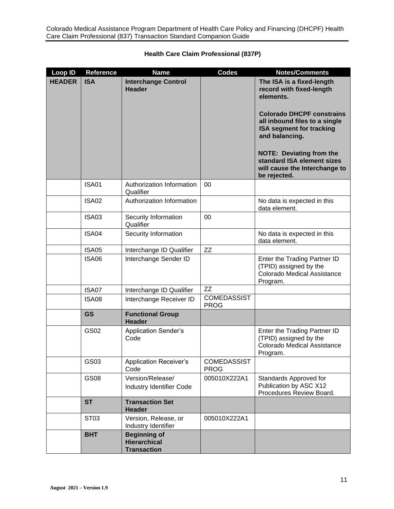## **Health Care Claim Professional (837P)**

| Loop ID       | Reference    | <b>Name</b>                                                      | <b>Codes</b>                      | <b>Notes/Comments</b>                                                                                                                                                                                                                                                                                          |
|---------------|--------------|------------------------------------------------------------------|-----------------------------------|----------------------------------------------------------------------------------------------------------------------------------------------------------------------------------------------------------------------------------------------------------------------------------------------------------------|
| <b>HEADER</b> | <b>ISA</b>   | <b>Interchange Control</b><br><b>Header</b>                      |                                   | The ISA is a fixed-length<br>record with fixed-length<br>elements.<br><b>Colorado DHCPF constrains</b><br>all inbound files to a single<br><b>ISA segment for tracking</b><br>and balancing.<br><b>NOTE: Deviating from the</b><br>standard ISA element sizes<br>will cause the Interchange to<br>be rejected. |
|               | ISA01        | Authorization Information<br>Qualifier                           | 00                                |                                                                                                                                                                                                                                                                                                                |
|               | ISA02        | Authorization Information                                        |                                   | No data is expected in this<br>data element.                                                                                                                                                                                                                                                                   |
|               | ISA03        | Security Information<br>Qualifier                                | 00                                |                                                                                                                                                                                                                                                                                                                |
|               | ISA04        | Security Information                                             |                                   | No data is expected in this<br>data element.                                                                                                                                                                                                                                                                   |
|               | <b>ISA05</b> | Interchange ID Qualifier                                         | ZZ                                |                                                                                                                                                                                                                                                                                                                |
|               | <b>ISA06</b> | Interchange Sender ID                                            |                                   | Enter the Trading Partner ID<br>(TPID) assigned by the<br>Colorado Medical Assistance<br>Program.                                                                                                                                                                                                              |
|               | ISA07        | Interchange ID Qualifier                                         | ZZ                                |                                                                                                                                                                                                                                                                                                                |
|               | ISA08        | Interchange Receiver ID                                          | <b>COMEDASSIST</b><br><b>PROG</b> |                                                                                                                                                                                                                                                                                                                |
|               | <b>GS</b>    | <b>Functional Group</b><br><b>Header</b>                         |                                   |                                                                                                                                                                                                                                                                                                                |
|               | GS02         | <b>Application Sender's</b><br>Code                              |                                   | Enter the Trading Partner ID<br>(TPID) assigned by the<br>Colorado Medical Assistance<br>Program.                                                                                                                                                                                                              |
|               | GS03         | <b>Application Receiver's</b><br>Code                            | <b>COMEDASSIST</b><br><b>PROG</b> |                                                                                                                                                                                                                                                                                                                |
|               | <b>GS08</b>  | Version/Release/<br>Industry Identifier Code                     | 005010X222A1                      | Standards Approved for<br>Publication by ASC X12<br>Procedures Review Board.                                                                                                                                                                                                                                   |
|               | <b>ST</b>    | <b>Transaction Set</b><br><b>Header</b>                          |                                   |                                                                                                                                                                                                                                                                                                                |
|               | ST03         | Version, Release, or<br>Industry Identifier                      | 005010X222A1                      |                                                                                                                                                                                                                                                                                                                |
|               | <b>BHT</b>   | <b>Beginning of</b><br><b>Hierarchical</b><br><b>Transaction</b> |                                   |                                                                                                                                                                                                                                                                                                                |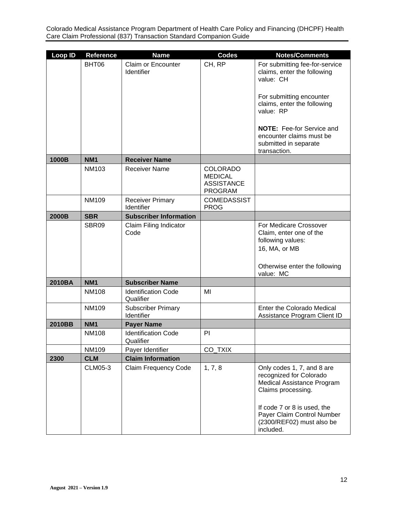| <b>Loop ID</b> | Reference       | <b>Name</b>                             | <b>Codes</b>                                                             | <b>Notes/Comments</b>                                                                                                                                                                                            |
|----------------|-----------------|-----------------------------------------|--------------------------------------------------------------------------|------------------------------------------------------------------------------------------------------------------------------------------------------------------------------------------------------------------|
|                | BHT06           | <b>Claim or Encounter</b><br>Identifier | CH, RP                                                                   | For submitting fee-for-service<br>claims, enter the following<br>value: CH                                                                                                                                       |
|                |                 |                                         |                                                                          | For submitting encounter<br>claims, enter the following<br>value: RP                                                                                                                                             |
|                |                 |                                         |                                                                          | <b>NOTE:</b> Fee-for Service and<br>encounter claims must be<br>submitted in separate<br>transaction.                                                                                                            |
| 1000B          | <b>NM1</b>      | <b>Receiver Name</b>                    |                                                                          |                                                                                                                                                                                                                  |
|                | NM103           | <b>Receiver Name</b>                    | <b>COLORADO</b><br><b>MEDICAL</b><br><b>ASSISTANCE</b><br><b>PROGRAM</b> |                                                                                                                                                                                                                  |
|                | <b>NM109</b>    | <b>Receiver Primary</b><br>Identifier   | <b>COMEDASSIST</b><br><b>PROG</b>                                        |                                                                                                                                                                                                                  |
| 2000B          | <b>SBR</b>      | <b>Subscriber Information</b>           |                                                                          |                                                                                                                                                                                                                  |
|                | SBR09           | Claim Filing Indicator<br>Code          |                                                                          | For Medicare Crossover<br>Claim, enter one of the<br>following values:<br>16, MA, or MB<br>Otherwise enter the following                                                                                         |
|                |                 |                                         |                                                                          | value: MC                                                                                                                                                                                                        |
| 2010BA         | <b>NM1</b>      | <b>Subscriber Name</b>                  |                                                                          |                                                                                                                                                                                                                  |
|                | <b>NM108</b>    | <b>Identification Code</b><br>Qualifier | MI                                                                       |                                                                                                                                                                                                                  |
|                | <b>NM109</b>    | <b>Subscriber Primary</b><br>Identifier |                                                                          | Enter the Colorado Medical<br>Assistance Program Client ID                                                                                                                                                       |
| 2010BB         | NM <sub>1</sub> | <b>Payer Name</b>                       |                                                                          |                                                                                                                                                                                                                  |
|                | <b>NM108</b>    | <b>Identification Code</b><br>Qualifier | PI                                                                       |                                                                                                                                                                                                                  |
|                | <b>NM109</b>    | Payer Identifier                        | CO_TXIX                                                                  |                                                                                                                                                                                                                  |
| 2300           | <b>CLM</b>      | <b>Claim Information</b>                |                                                                          |                                                                                                                                                                                                                  |
|                | <b>CLM05-3</b>  | Claim Frequency Code                    | 1, 7, 8                                                                  | Only codes 1, 7, and 8 are<br>recognized for Colorado<br>Medical Assistance Program<br>Claims processing.<br>If code 7 or 8 is used, the<br>Payer Claim Control Number<br>(2300/REF02) must also be<br>included. |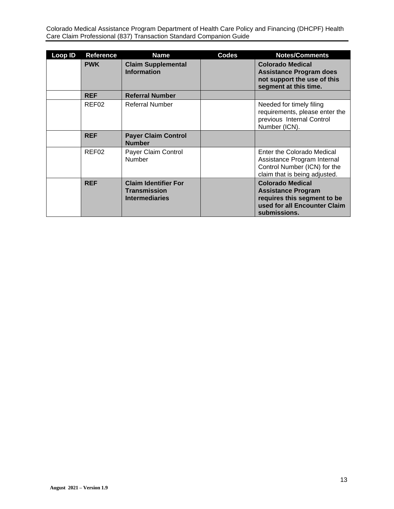| <b>Loop ID</b> | <b>Reference</b>  | <b>Name</b>                                                          | <b>Codes</b> | <b>Notes/Comments</b>                                                                                                               |
|----------------|-------------------|----------------------------------------------------------------------|--------------|-------------------------------------------------------------------------------------------------------------------------------------|
|                | <b>PWK</b>        | <b>Claim Supplemental</b><br><b>Information</b>                      |              | <b>Colorado Medical</b><br><b>Assistance Program does</b><br>not support the use of this<br>segment at this time.                   |
|                | <b>REF</b>        | <b>Referral Number</b>                                               |              |                                                                                                                                     |
|                | REF02             | <b>Referral Number</b>                                               |              | Needed for timely filing<br>requirements, please enter the<br>previous Internal Control<br>Number (ICN).                            |
|                | <b>REF</b>        | <b>Payer Claim Control</b><br><b>Number</b>                          |              |                                                                                                                                     |
|                | REF <sub>02</sub> | Payer Claim Control<br>Number                                        |              | Enter the Colorado Medical<br>Assistance Program Internal<br>Control Number (ICN) for the<br>claim that is being adjusted.          |
|                | <b>REF</b>        | <b>Claim Identifier For</b><br>Transmission<br><b>Intermediaries</b> |              | <b>Colorado Medical</b><br><b>Assistance Program</b><br>requires this segment to be<br>used for all Encounter Claim<br>submissions. |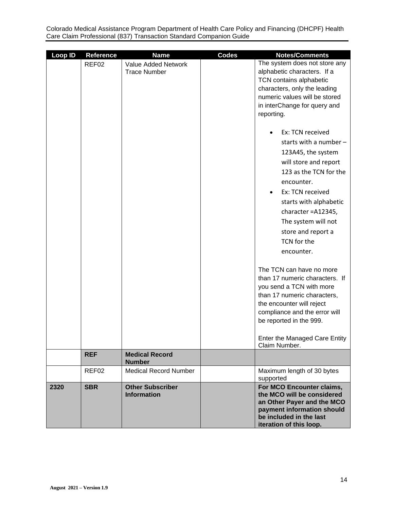| <b>Loop ID</b> | Reference  | <b>Name</b>                                   | <b>Codes</b> | <b>Notes/Comments</b>                                                                                                                                                                                                                                                                                                                                                        |
|----------------|------------|-----------------------------------------------|--------------|------------------------------------------------------------------------------------------------------------------------------------------------------------------------------------------------------------------------------------------------------------------------------------------------------------------------------------------------------------------------------|
|                | REF02      | Value Added Network<br><b>Trace Number</b>    |              | The system does not store any<br>alphabetic characters. If a<br>TCN contains alphabetic<br>characters, only the leading<br>numeric values will be stored<br>in interChange for query and<br>reporting.                                                                                                                                                                       |
|                |            |                                               |              | Ex: TCN received<br>starts with a number $-$<br>123A45, the system<br>will store and report<br>123 as the TCN for the<br>encounter.<br>Ex: TCN received<br>starts with alphabetic<br>character = A12345,<br>The system will not<br>store and report a<br>TCN for the<br>encounter.<br>The TCN can have no more<br>than 17 numeric characters. If<br>you send a TCN with more |
|                |            |                                               |              | than 17 numeric characters,<br>the encounter will reject<br>compliance and the error will<br>be reported in the 999.<br><b>Enter the Managed Care Entity</b><br>Claim Number.                                                                                                                                                                                                |
|                | <b>REF</b> | <b>Medical Record</b><br><b>Number</b>        |              |                                                                                                                                                                                                                                                                                                                                                                              |
|                | REF02      | <b>Medical Record Number</b>                  |              | Maximum length of 30 bytes<br>supported                                                                                                                                                                                                                                                                                                                                      |
| 2320           | <b>SBR</b> | <b>Other Subscriber</b><br><b>Information</b> |              | For MCO Encounter claims,<br>the MCO will be considered<br>an Other Payer and the MCO<br>payment information should<br>be included in the last<br>iteration of this loop.                                                                                                                                                                                                    |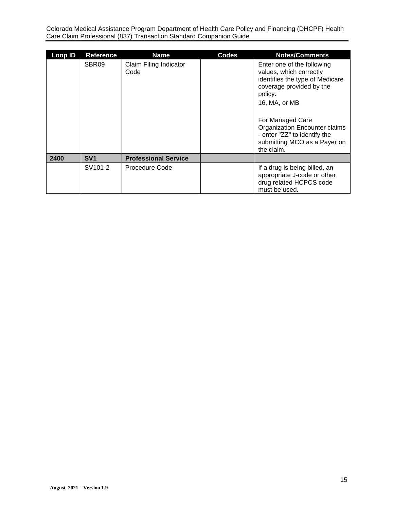| Loop ID | <b>Reference</b>    | <b>Name</b>                    | <b>Codes</b> | <b>Notes/Comments</b>                                                                                                                                                                                                                                                               |
|---------|---------------------|--------------------------------|--------------|-------------------------------------------------------------------------------------------------------------------------------------------------------------------------------------------------------------------------------------------------------------------------------------|
|         | SBR09               | Claim Filing Indicator<br>Code |              | Enter one of the following<br>values, which correctly<br>identifies the type of Medicare<br>coverage provided by the<br>policy:<br>16, MA, or MB<br>For Managed Care<br>Organization Encounter claims<br>- enter "ZZ" to identify the<br>submitting MCO as a Payer on<br>the claim. |
| 2400    | SV <sub>1</sub>     | <b>Professional Service</b>    |              |                                                                                                                                                                                                                                                                                     |
|         | SV <sub>101-2</sub> | <b>Procedure Code</b>          |              | If a drug is being billed, an<br>appropriate J-code or other<br>drug related HCPCS code<br>must be used.                                                                                                                                                                            |